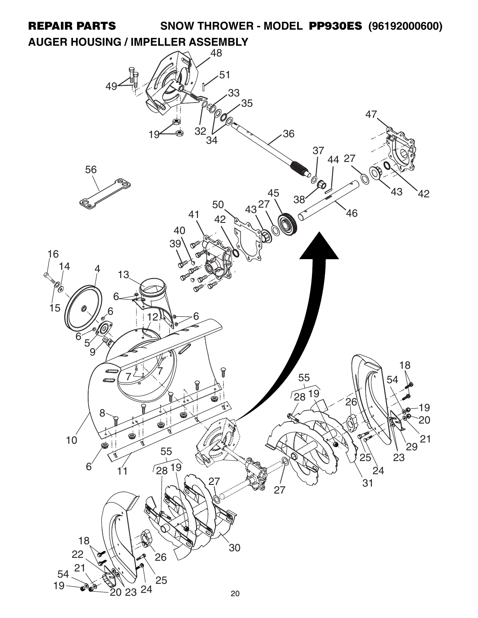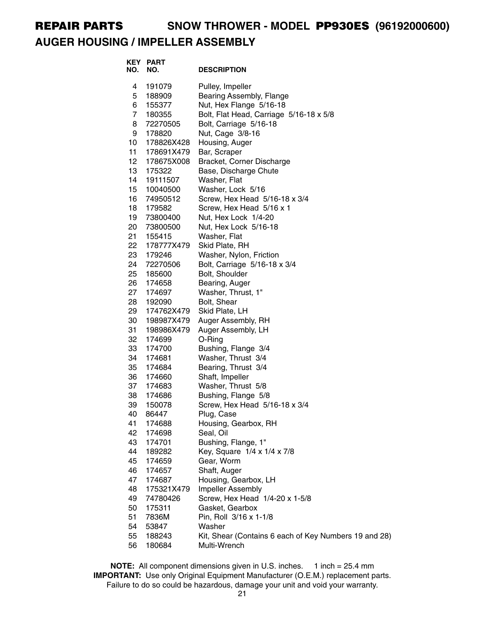### **AUGER HOUSING / IMPELLER ASSEMBLY**

| NO. | <b>KEY PART</b><br>NO. | <b>DESCRIPTION</b>                                    |
|-----|------------------------|-------------------------------------------------------|
| 4   | 191079                 | Pulley, Impeller                                      |
| 5   | 188909                 | Bearing Assembly, Flange                              |
| 6   | 155377                 | Nut, Hex Flange 5/16-18                               |
| 7   | 180355                 | Bolt, Flat Head, Carriage 5/16-18 x 5/8               |
| 8   | 72270505               | Bolt, Carriage 5/16-18                                |
| 9   | 178820                 | Nut, Cage 3/8-16                                      |
| 10  | 178826X428             | Housing, Auger                                        |
| 11  | 178691X479             | Bar, Scraper                                          |
| 12  | 178675X008             | Bracket, Corner Discharge                             |
| 13  | 175322                 | Base, Discharge Chute                                 |
| 14  | 19111507               | Washer, Flat                                          |
| 15  | 10040500               | Washer, Lock 5/16                                     |
| 16  | 74950512               | Screw, Hex Head 5/16-18 x 3/4                         |
| 18  | 179582                 | Screw, Hex Head 5/16 x 1                              |
| 19  | 73800400               | Nut, Hex Lock 1/4-20                                  |
| 20  | 73800500               | Nut, Hex Lock 5/16-18                                 |
| 21  | 155415                 | Washer, Flat                                          |
| 22  | 178777X479             | Skid Plate, RH                                        |
| 23  | 179246                 | Washer, Nylon, Friction                               |
| 24  | 72270506               | Bolt, Carriage 5/16-18 x 3/4                          |
| 25  | 185600                 | Bolt, Shoulder                                        |
| 26  | 174658                 | Bearing, Auger                                        |
| 27  | 174697                 | Washer, Thrust, 1"                                    |
| 28  | 192090                 | Bolt, Shear                                           |
| 29  | 174762X479             | Skid Plate, LH                                        |
| 30  | 198987X479             | Auger Assembly, RH                                    |
| 31  | 198986X479             | Auger Assembly, LH                                    |
| 32  | 174699                 | O-Ring                                                |
| 33  | 174700                 | Bushing, Flange 3/4                                   |
| 34  | 174681                 | Washer, Thrust 3/4                                    |
| 35  | 174684                 | Bearing, Thrust 3/4                                   |
| 36  | 174660                 | Shaft, Impeller                                       |
| 37  | 174683                 | Washer, Thrust 5/8                                    |
| 38  | 174686                 | Bushing, Flange 5/8                                   |
| 39  | 150078                 | Screw, Hex Head 5/16-18 x 3/4                         |
| 40  | 86447                  | Plug, Case                                            |
| 41  | 174688                 | Housing, Gearbox, RH                                  |
| 42  | 174698                 | Seal, Oil                                             |
| 43  | 174701                 | Bushing, Flange, 1"                                   |
| 44  | 189282                 | Key, Square 1/4 x 1/4 x 7/8                           |
| 45  | 174659                 | Gear, Worm                                            |
| 46  | 174657                 | Shaft, Auger                                          |
| 47  | 174687                 | Housing, Gearbox, LH                                  |
| 48  | 175321X479             | Impeller Assembly                                     |
| 49  | 74780426               | Screw, Hex Head 1/4-20 x 1-5/8                        |
| 50  | 175311                 | Gasket, Gearbox                                       |
| 51  | 7836M                  | Pin, Roll 3/16 x 1-1/8                                |
| 54  | 53847                  | Washer                                                |
| 55  | 188243                 | Kit, Shear (Contains 6 each of Key Numbers 19 and 28) |
| 56  | 180684                 | Multi-Wrench                                          |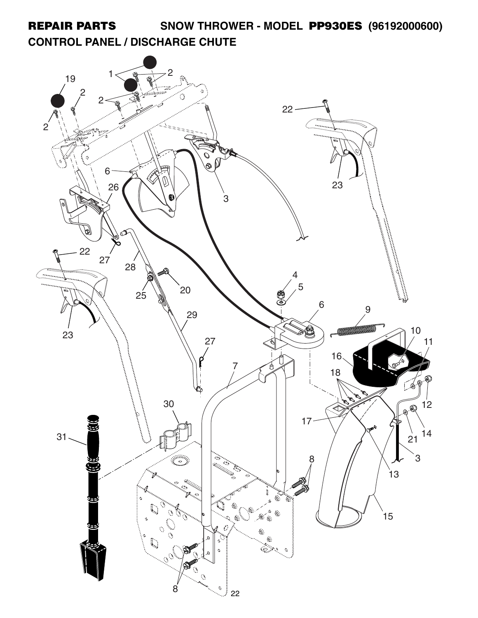# **CONTROL PANEL / DISCHARGE CHUTE**

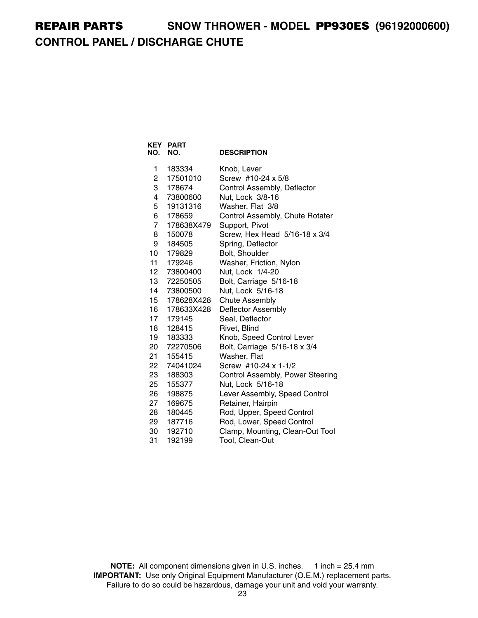# **REPAIR PARTS SNOW THROWER - MODEL PP930ES (96192000600) CONTROL PANEL / DISCHARGE CHUTE**

| NO.            | <b>KEY PART</b><br>NO. | <b>DESCRIPTION</b>               |
|----------------|------------------------|----------------------------------|
| 1              | 183334                 | Knob, Lever                      |
| 2              | 17501010               | Screw #10-24 x 5/8               |
| 3              | 178674                 | Control Assembly, Deflector      |
| 4              | 73800600               | Nut, Lock 3/8-16                 |
| 5              | 19131316               | Washer, Flat 3/8                 |
| 6              | 178659                 | Control Assembly, Chute Rotater  |
| $\overline{7}$ | 178638X479             | Support, Pivot                   |
| 8              | 150078                 | Screw, Hex Head 5/16-18 x 3/4    |
| 9              | 184505                 | Spring, Deflector                |
| 10             | 179829                 | Bolt, Shoulder                   |
| 11             | 179246                 | Washer, Friction, Nylon          |
| 12             | 73800400               | Nut, Lock 1/4-20                 |
| 13             | 72250505               | Bolt, Carriage 5/16-18           |
| 14             | 73800500               | Nut, Lock 5/16-18                |
| 15             | 178628X428             | <b>Chute Assembly</b>            |
| 16             | 178633X428             | Deflector Assembly               |
| 17             | 179145                 | Seal, Deflector                  |
| 18             | 128415                 | Rivet, Blind                     |
| 19             | 183333                 | Knob, Speed Control Lever        |
| 20             | 72270506               | Bolt, Carriage 5/16-18 x 3/4     |
| 21             | 155415                 | Washer, Flat                     |
| 22             | 74041024               | Screw #10-24 x 1-1/2             |
| 23             | 188303                 | Control Assembly, Power Steering |
| 25             | 155377                 | Nut, Lock 5/16-18                |
| 26             | 198875                 | Lever Assembly, Speed Control    |
| 27             | 169675                 | Retainer, Hairpin                |
| 28             | 180445                 | Rod, Upper, Speed Control        |
| 29             | 187716                 | Rod, Lower, Speed Control        |
| 30             | 192710                 | Clamp, Mounting, Clean-Out Tool  |
| 31             | 192199                 | Tool, Clean-Out                  |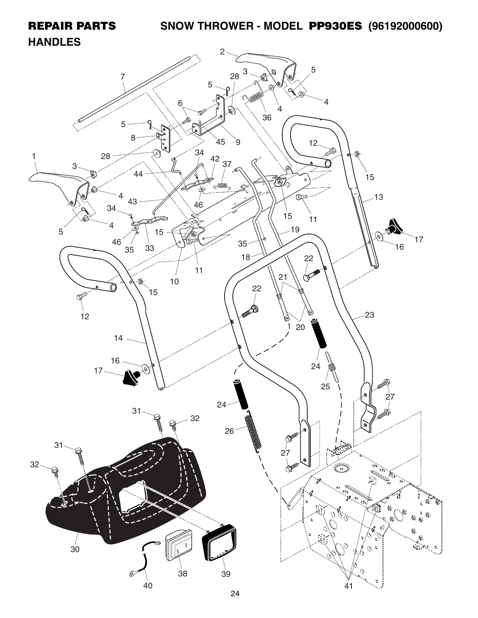### **HANDLES**

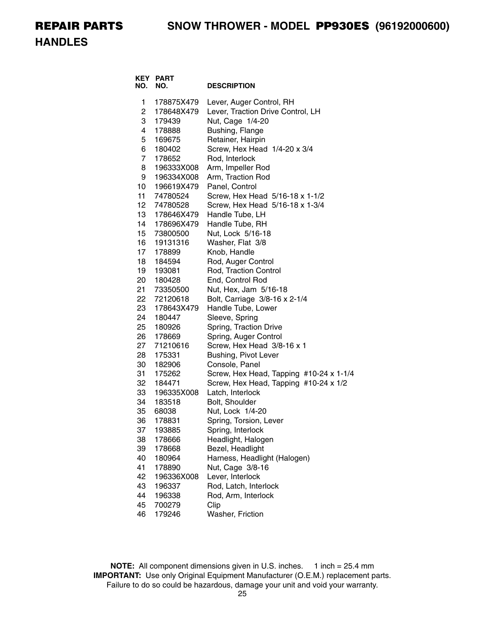**HANDLES**

| NO.                    | <b>KEY PART</b><br>NO.   | <b>DESCRIPTION</b>                      |
|------------------------|--------------------------|-----------------------------------------|
| 1                      | 178875X479               | Lever, Auger Control, RH                |
| $\overline{2}$         | 178648X479               | Lever, Traction Drive Control, LH       |
| 3                      | 179439                   | Nut, Cage 1/4-20                        |
| 4                      | 178888                   | Bushing, Flange                         |
| 5                      | 169675                   | Retainer, Hairpin                       |
| 6                      | 180402                   | Screw, Hex Head 1/4-20 x 3/4            |
| $\overline{7}$         | 178652                   | Rod, Interlock                          |
| 8                      | 196333X008               | Arm, Impeller Rod                       |
| 9                      | 196334X008               | Arm, Traction Rod                       |
| 10                     | 196619X479               | Panel, Control                          |
| 11                     | 74780524                 | Screw, Hex Head 5/16-18 x 1-1/2         |
| 12 <sup>12</sup><br>13 | 74780528                 | Screw, Hex Head 5/16-18 x 1-3/4         |
| 14                     | 178646X479<br>178696X479 | Handle Tube, LH<br>Handle Tube, RH      |
| 15 <sub>1</sub>        | 73800500                 | Nut, Lock 5/16-18                       |
| 16                     | 19131316                 | Washer, Flat 3/8                        |
| 17                     | 178899                   | Knob, Handle                            |
| 18                     | 184594                   | Rod, Auger Control                      |
| 19                     | 193081                   | Rod, Traction Control                   |
| 20                     | 180428                   | End, Control Rod                        |
| 21                     | 73350500                 | Nut, Hex, Jam 5/16-18                   |
| 22                     | 72120618                 | Bolt, Carriage 3/8-16 x 2-1/4           |
| 23                     | 178643X479               | Handle Tube, Lower                      |
| 24                     | 180447                   | Sleeve, Spring                          |
| 25                     | 180926                   | Spring, Traction Drive                  |
| 26                     | 178669                   | Spring, Auger Control                   |
| 27                     | 71210616                 | Screw, Hex Head 3/8-16 x 1              |
| 28                     | 175331                   | Bushing, Pivot Lever                    |
| 30                     | 182906                   | Console, Panel                          |
| 31                     | 175262                   | Screw, Hex Head, Tapping #10-24 x 1-1/4 |
| 32                     | 184471                   | Screw, Hex Head, Tapping #10-24 x 1/2   |
| 33                     | 196335X008               | Latch, Interlock                        |
| 34                     | 183518                   | Bolt, Shoulder                          |
| 35<br>36               | 68038                    | Nut, Lock 1/4-20                        |
|                        | 178831                   | Spring, Torsion, Lever                  |
| 37<br>38               | 193885<br>178666         | Spring, Interlock<br>Headlight, Halogen |
| 39                     | 178668                   | Bezel, Headlight                        |
| 40                     | 180964                   | Harness, Headlight (Halogen)            |
| 41                     | 178890                   | Nut, Cage 3/8-16                        |
| 42                     | 196336X008               | Lever, Interlock                        |
| 43                     | 196337                   | Rod, Latch, Interlock                   |
| 44                     | 196338                   | Rod, Arm, Interlock                     |
| 45                     | 700279                   | Clip                                    |
| 46                     | 179246                   | Washer, Friction                        |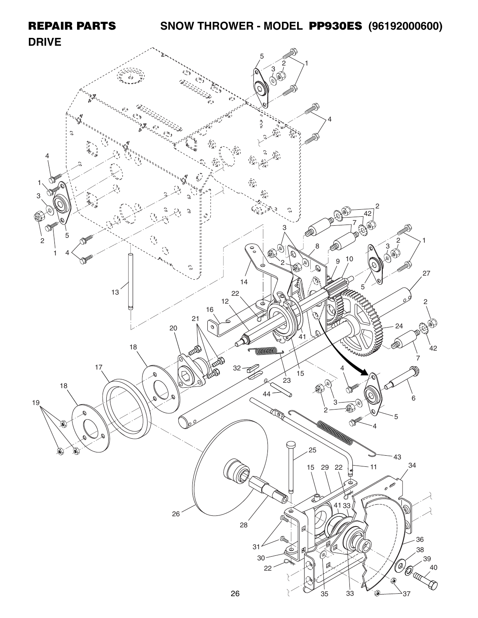#### **REPAIR PARTS SNOW THROWER - MODEL PP930ES (96192000600) DRIVE** 5 2  $\rightarrow$ 1  $\frac{3}{9}$  $\overline{ds}$ 4  $\mathbb Q$  $\frac{1}{1+2\frac{1}{2}}$ 4  $\widehat{\widehat{\mathcal{F}}_{\mathcal{U}}},$ 1  $\begin{pmatrix} \hat{\alpha}^{\prime\prime} \\ \hat{\alpha}^{\prime\prime} \end{pmatrix}$ 3 2  $\mathbb{C}^{\mathbb{O}}$ د با باره<br>مارسی  $\mathcal{E}$  $\tilde{z}$ 42 ▧ 7 画  $\bigcirc$ 3 5  $\begin{pmatrix} \delta_{\mu} \\ \delta_{\mu} \end{pmatrix}$  $\frac{1}{2}$  $\begin{array}{c} 2 \\ 3 \ \end{array}$   $\begin{array}{c} 2 \\ 7 \ \end{array}$ 一个 8  $\tilde{\mathcal{O}}$  $\circ$  $\circledast$ 1 4 ▧  $\mathscr R$ 9 10 V  $\overline{Q}$ じ ▧  $\mathbb{R}$ 27 14 5 13 22  $\mathbb{P}$ 12 2 d 16 21 24 20  $\mathcal{O}$ ₩ 41 一个小 18  $42$ **WINDER** 7  $32 - 62$ 17 4  $\bigotimes$ 15 Q 23 ⋒ 18 的 44  $3 - 8$   $10$   $6$ 19 **ROSA** 2 5 **ATA CONTENTE DE 1979**<br>25  $\mathbb{R}^2$ 4 ۵ ۱ 43 29 22  $\sim 11$   $^{34}$  $-11$ 15 (Q  $\overrightarrow{e}$ T B) 41 33 26 28 36 31 38 € 30 (**0 6 - <sup>39</sup>)**<br>( Changhair 22 40  $\mathcal{E}$  $33$   $\sqrt{\omega}$   $37$ 35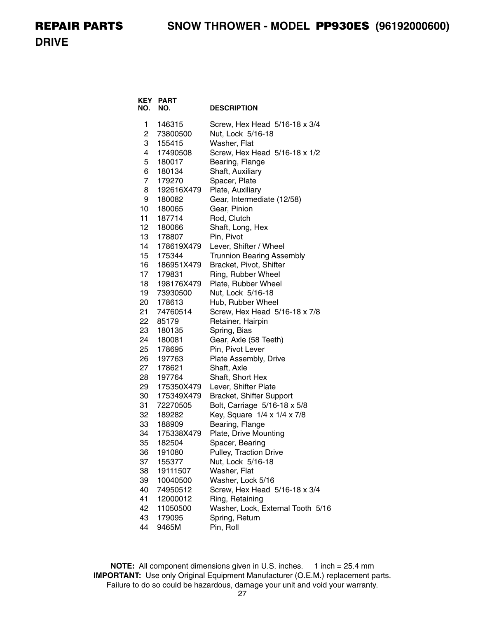**DRIVE**

| KEY<br>NO. | <b>PART</b><br>NO. | <b>DESCRIPTION</b>                        |
|------------|--------------------|-------------------------------------------|
| 1          | 146315             | Screw, Hex Head 5/16-18 x 3/4             |
| 2          | 73800500           | Nut, Lock 5/16-18                         |
| 3          | 155415             | Washer, Flat                              |
| 4          | 17490508           | Screw, Hex Head 5/16-18 x 1/2             |
| 5          | 180017             | Bearing, Flange                           |
| 6          | 180134             | Shaft, Auxiliary                          |
| 7          | 179270             | Spacer, Plate                             |
| 8          | 192616X479         | Plate, Auxiliary                          |
| 9          | 180082             | Gear, Intermediate (12/58)                |
| 10         | 180065             | Gear, Pinion                              |
| 11         | 187714             | Rod, Clutch                               |
| 12         | 180066             | Shaft, Long, Hex                          |
| 13         | 178807             | Pin, Pivot                                |
| 14         | 178619X479         | Lever, Shifter / Wheel                    |
| 15         | 175344             | <b>Trunnion Bearing Assembly</b>          |
| 16         | 186951X479         | Bracket, Pivot, Shifter                   |
| 17         | 179831             | Ring, Rubber Wheel                        |
| 18         | 198176X479         | Plate, Rubber Wheel                       |
| 19         | 73930500           | Nut, Lock 5/16-18                         |
| 20         | 178613             | Hub, Rubber Wheel                         |
| 21         | 74760514           | Screw, Hex Head 5/16-18 x 7/8             |
| 22         | 85179              | Retainer, Hairpin                         |
| 23         | 180135             | Spring, Bias                              |
| 24<br>25   | 180081             | Gear, Axle (58 Teeth)<br>Pin, Pivot Lever |
| 26         | 178695<br>197763   | Plate Assembly, Drive                     |
| 27         | 178621             | Shaft, Axle                               |
| 28         | 197764             | Shaft, Short Hex                          |
| 29         | 175350X479         | Lever, Shifter Plate                      |
| 30         | 175349X479         | Bracket, Shifter Support                  |
| 31         | 72270505           | Bolt, Carriage 5/16-18 x 5/8              |
| 32         | 189282             | Key, Square 1/4 x 1/4 x 7/8               |
| 33         | 188909             | Bearing, Flange                           |
| 34         | 175338X479         | Plate, Drive Mounting                     |
| 35         | 182504             | Spacer, Bearing                           |
| 36         | 191080             | Pulley, Traction Drive                    |
| 37         | 155377             | Nut, Lock 5/16-18                         |
| 38         | 19111507           | Washer, Flat                              |
| 39         | 10040500           | Washer, Lock 5/16                         |
| 40         | 74950512           | Screw, Hex Head 5/16-18 x 3/4             |
| 41         | 12000012           | Ring, Retaining                           |
| 42         | 11050500           | Washer, Lock, External Tooth 5/16         |
| 43         | 179095             | Spring, Return                            |
| 44         | 9465M              | Pin, Roll                                 |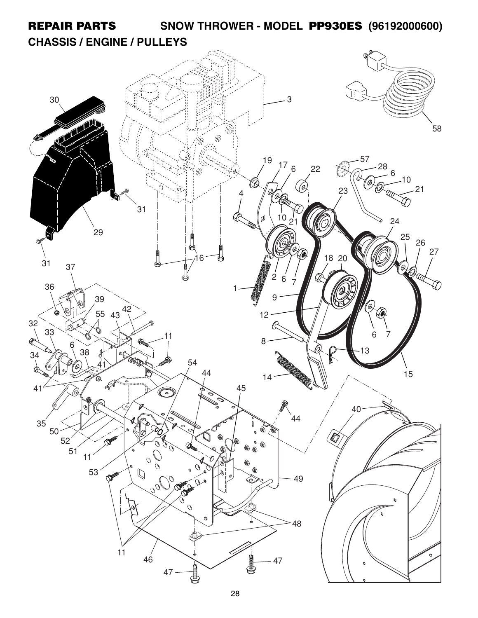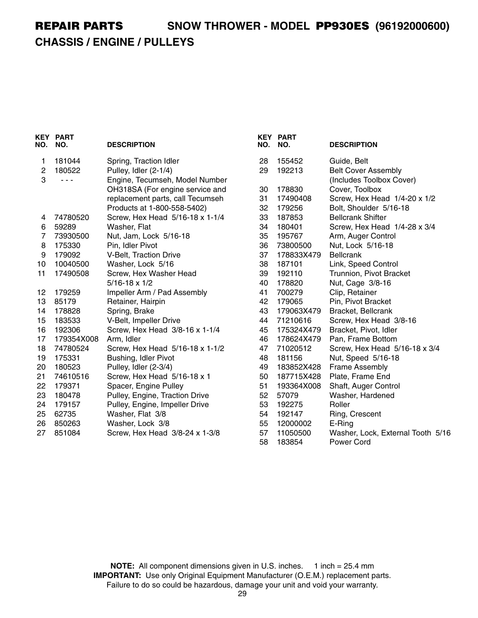## **CHASSIS / ENGINE / PULLEYS**

| NO.            | <b>KEY PART</b><br>NO. | <b>DESCRIPTION</b>               | NO.      | <b>KEY PART</b><br>NO. | <b>DESCRIPTION</b>                                     |
|----------------|------------------------|----------------------------------|----------|------------------------|--------------------------------------------------------|
| 1              | 181044                 | Spring, Traction Idler           | 28       | 155452                 | Guide, Belt                                            |
| $\overline{c}$ | 180522                 | Pulley, Idler (2-1/4)            | 29       | 192213                 | <b>Belt Cover Assembly</b>                             |
| 3              | - - -                  | Engine, Tecumseh, Model Number   |          |                        | (Includes Toolbox Cover)                               |
|                |                        | OH318SA (For engine service and  | 30       | 178830                 | Cover, Toolbox                                         |
|                |                        | replacement parts, call Tecumseh | 31       | 17490408               | Screw, Hex Head 1/4-20 x 1/2                           |
|                |                        | Products at 1-800-558-5402)      | 32       | 179256                 | Bolt, Shoulder 5/16-18                                 |
| 4              | 74780520               | Screw, Hex Head 5/16-18 x 1-1/4  | 33       | 187853                 | <b>Bellcrank Shifter</b>                               |
| 6              | 59289                  | Washer, Flat                     | 34       | 180401                 | Screw, Hex Head 1/4-28 x 3/4                           |
| 7              | 73930500               | Nut, Jam, Lock 5/16-18           | 35       | 195767                 | Arm, Auger Control                                     |
| 8              | 175330                 | Pin, Idler Pivot                 | 36       | 73800500               | Nut, Lock 5/16-18                                      |
| 9              | 179092                 | V-Belt, Traction Drive           | 37       | 178833X479             | <b>Bellcrank</b>                                       |
| 10             | 10040500               | Washer, Lock 5/16                | 38       | 187101                 | Link, Speed Control                                    |
| 11             | 17490508               | Screw, Hex Washer Head           | 39       | 192110                 | Trunnion, Pivot Bracket                                |
|                |                        | $5/16 - 18 \times 1/2$           | 40       | 178820                 | Nut, Cage 3/8-16                                       |
| 12             | 179259                 | Impeller Arm / Pad Assembly      | 41       | 700279                 | Clip, Retainer                                         |
| 13             | 85179                  | Retainer, Hairpin                | 42       | 179065                 | Pin, Pivot Bracket                                     |
| 14             | 178828                 | Spring, Brake                    | 43       | 179063X479             | Bracket, Bellcrank                                     |
| 15             | 183533                 | V-Belt, Impeller Drive           | 44       | 71210616               | Screw, Hex Head 3/8-16                                 |
| 16             | 192306                 | Screw, Hex Head 3/8-16 x 1-1/4   | 45       | 175324X479             | Bracket, Pivot, Idler                                  |
| 17             | 179354X008             | Arm, Idler                       | 46       | 178624X479             | Pan, Frame Bottom                                      |
| 18             | 74780524               | Screw, Hex Head 5/16-18 x 1-1/2  | 47       | 71020512               | Screw, Hex Head 5/16-18 x 3/4                          |
| 19             | 175331                 | Bushing, Idler Pivot             | 48       | 181156                 | Nut, Speed 5/16-18                                     |
| 20             | 180523                 | Pulley, Idler (2-3/4)            | 49       | 183852X428             | <b>Frame Assembly</b>                                  |
| 21             | 74610516               | Screw, Hex Head 5/16-18 x 1      | 50       | 187715X428             | Plate, Frame End                                       |
| 22             | 179371                 | Spacer, Engine Pulley            | 51       | 193364X008             | Shaft, Auger Control                                   |
| 23             | 180478                 | Pulley, Engine, Traction Drive   | 52       | 57079                  | Washer, Hardened                                       |
| 24             | 179157                 | Pulley, Engine, Impeller Drive   | 53       | 192275                 | Roller                                                 |
| 25             | 62735                  | Washer, Flat 3/8                 | 54       | 192147                 | Ring, Crescent                                         |
| 26             | 850263                 | Washer, Lock 3/8                 | 55       | 12000002               | E-Ring                                                 |
| 27             | 851084                 | Screw, Hex Head 3/8-24 x 1-3/8   | 57<br>58 | 11050500<br>183854     | Washer, Lock, External Tooth 5/16<br><b>Power Cord</b> |
|                |                        |                                  |          |                        |                                                        |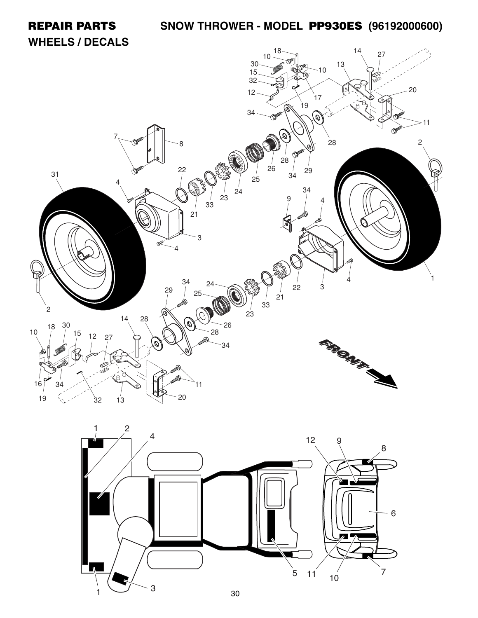